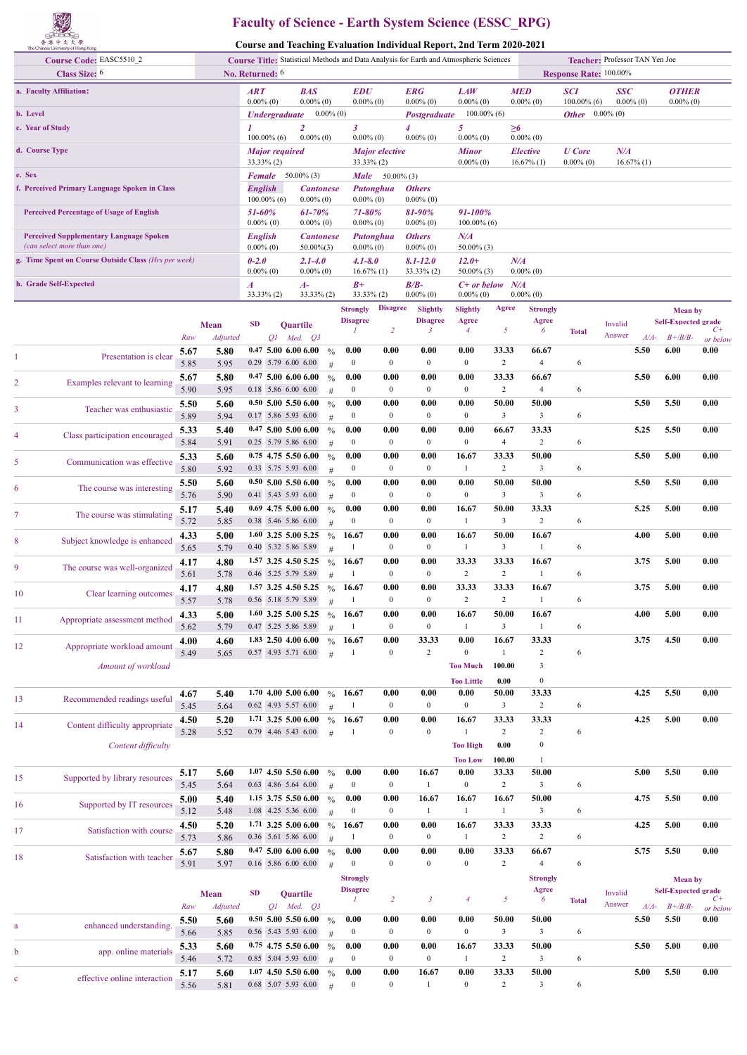

## **Faculty of Science - Earth System Science (ESSC\_RPG)**

**Course and Teaching Evaluation Individual Report, 2nd Term 2020-2021**

|                                                                              | The Chinese University of Hong Kong             |              |                  |                                        |                             |                                              |                    |                                        |                          | Course and Teaching Evaluation Individual Iseport, 2nd Term 2020-2021                  |                            |                                  |                               |                              |                                |        |                                              |                  |
|------------------------------------------------------------------------------|-------------------------------------------------|--------------|------------------|----------------------------------------|-----------------------------|----------------------------------------------|--------------------|----------------------------------------|--------------------------|----------------------------------------------------------------------------------------|----------------------------|----------------------------------|-------------------------------|------------------------------|--------------------------------|--------|----------------------------------------------|------------------|
|                                                                              | Course Code: EASC5510_2                         |              |                  |                                        |                             |                                              |                    |                                        |                          | Course Title: Statistical Methods and Data Analysis for Earth and Atmospheric Sciences |                            |                                  |                               |                              | Teacher: Professor TAN Yen Joe |        |                                              |                  |
|                                                                              | Class Size: 6                                   |              | No. Returned: 6  |                                        |                             |                                              |                    |                                        |                          |                                                                                        |                            |                                  |                               | Response Rate: 100.00%       |                                |        |                                              |                  |
|                                                                              | a. Faculty Affiliation:                         |              |                  | <b>ART</b><br>$0.00\%$ (0)             |                             | <b>BAS</b><br>$0.00\%$ (0)                   |                    | <b>EDU</b><br>$0.00\%$ (0)             |                          | ERG<br>$0.00\%$ (0)                                                                    | <b>LAW</b><br>$0.00\%$ (0) |                                  | <b>MED</b><br>$0.00\%$ (0)    | <b>SCI</b><br>$100.00\%$ (6) | <b>SSC</b><br>$0.00\%$ (0)     |        | <b>OTHER</b><br>$0.00\%$ (0)                 |                  |
| b. Level                                                                     |                                                 |              |                  |                                        | <b><i>Undergraduate</i></b> |                                              | $0.00\%$ (0)       |                                        |                          | Postgraduate                                                                           | $100.00\%$ (6)             |                                  |                               | <b>Other</b> $0.00\%$ (0)    |                                |        |                                              |                  |
| c. Year of Study                                                             |                                                 |              |                  |                                        |                             | $\overline{2}$                               |                    | 3                                      |                          |                                                                                        | 5                          |                                  | $\geq 6$                      |                              |                                |        |                                              |                  |
| d. Course Type                                                               |                                                 |              |                  | $100.00\%$ (6)<br>$0.00\%$ (0)         |                             |                                              |                    | $0.00\%$ (0)                           |                          | $0.00\%$ (0)                                                                           | $0.00\%$ (0)               |                                  | $0.00\%$ (0)                  |                              | N/A                            |        |                                              |                  |
|                                                                              |                                                 |              |                  | <b>Major required</b><br>$33.33\%$ (2) |                             |                                              |                    | <b>Major</b> elective<br>$33.33\%$ (2) |                          | <b>Minor</b><br>$0.00\%$ (0)                                                           |                            | <b>Elective</b><br>$16.67\%$ (1) | <b>U</b> Core<br>$0.00\%$ (0) | $16.67\%$ (1)                |                                |        |                                              |                  |
| e. Sex                                                                       |                                                 |              |                  | <b>Female</b>                          |                             | $50.00\%$ (3)                                |                    | <b>Male</b>                            | $50.00\%$ (3)            |                                                                                        |                            |                                  |                               |                              |                                |        |                                              |                  |
| f. Perceived Primary Language Spoken in Class                                |                                                 |              |                  | <b>English</b>                         | $100.00\%$ (6)              | <b>Cantonese</b><br>$0.00\%$ (0)             |                    | $0.00\%$ (0)                           | Putonghua                | <b>Others</b><br>$0.00\%$ (0)                                                          |                            |                                  |                               |                              |                                |        |                                              |                  |
|                                                                              | <b>Perceived Percentage of Usage of English</b> |              |                  | 51-60%<br>$0.00\%$ (0)                 |                             | 61-70%<br>$0.00\%$ (0)                       |                    | 71-80%<br>$0.00\%$ (0)                 |                          | 81-90%<br>$0.00\%$ (0)                                                                 | 91-100%<br>$100.00\%$ (6)  |                                  |                               |                              |                                |        |                                              |                  |
| <b>Perceived Supplementary Language Spoken</b><br>(can select more than one) |                                                 |              |                  | <b>English</b><br>$0.00\%$ (0)         |                             | <b>Cantonese</b><br>$50.00\%$ $(3)$          |                    | $0.00\%$ (0)                           | Putonghua                | <b>Others</b><br>$0.00\%$ (0)                                                          | $N\!/\!A$<br>$50.00\%$ (3) |                                  |                               |                              |                                |        |                                              |                  |
| g. Time Spent on Course Outside Class (Hrs per week)                         |                                                 |              |                  | $0 - 2.0$<br>$0.00\%$ (0)              |                             | $2.1 - 4.0$<br>$0.00\%$ (0)                  |                    | $4.1 - 8.0$<br>$16.67\%$ (1)           |                          | $8.1 - 12.0$                                                                           | $12.0+$<br>$50.00\%$ (3)   |                                  | N/A<br>$0.00\%$ (0)           |                              |                                |        |                                              |                  |
|                                                                              | h. Grade Self-Expected                          |              |                  | $\boldsymbol{A}$                       |                             | $A-$                                         |                    | $B+$                                   |                          | $33.33\%$ (2)<br>$B/B-$                                                                | $C+$ or below              |                                  | N/A                           |                              |                                |        |                                              |                  |
|                                                                              |                                                 |              |                  |                                        | $33.33\%$ (2)               | $33.33\%$ (2)                                |                    | $33.33\%$ (2)                          | <b>Disagree</b>          | $0.00\%$ (0)                                                                           | $0.00\%$ (0)               | Agree                            | $0.00\%$ (0)                  |                              |                                |        |                                              |                  |
|                                                                              |                                                 |              |                  |                                        |                             |                                              |                    | <b>Strongly</b><br><b>Disagree</b>     |                          | Slightly<br><b>Disagree</b>                                                            | Slightly<br>Agree          |                                  | <b>Strongly</b><br>Agree      |                              | Invalid                        |        | <b>Mean</b> by<br><b>Self-Expected grade</b> |                  |
|                                                                              |                                                 | Raw          | Mean<br>Adjusted | <b>SD</b>                              |                             | Quartile<br>$Q1$ Med. $Q3$                   |                    | $\mathcal{I}$                          | $\overline{2}$           | 3                                                                                      | $\overline{4}$             | 5                                | 6                             | <b>Total</b>                 | Answer                         | $A/A-$ | $B + \frac{B}{B}$                            | $C+$             |
|                                                                              |                                                 | 5.67         | 5.80             |                                        |                             | $0.47$ 5.00 6.00 6.00                        | $\frac{0}{0}$      | 0.00                                   | 0.00                     | 0.00                                                                                   | 0.00                       | 33.33                            | 66.67                         |                              | 5.50                           |        | 6.00                                         | or below<br>0.00 |
| 1                                                                            | Presentation is clear                           | 5.85         | 5.95             |                                        |                             | 0.29 5.79 6.00 6.00                          | #                  | $\overline{0}$                         | $\overline{0}$           | $\bf{0}$                                                                               | $\bf{0}$                   | 2                                | $\overline{4}$                | 6                            |                                |        |                                              |                  |
|                                                                              |                                                 | 5.67         | 5.80             |                                        |                             | $0.47$ 5.00 6.00 6.00                        | $\frac{0}{0}$      | 0.00                                   | 0.00                     | 0.00                                                                                   | 0.00                       | 33.33                            | 66.67                         |                              | 5.50                           |        | 6.00                                         | 0.00             |
| 2                                                                            | Examples relevant to learning                   | 5.90         | 5.95             |                                        |                             | 0.18 5.86 6.00 6.00                          | #                  | $\overline{0}$                         | $\overline{0}$           | $\bf{0}$                                                                               | $\bf{0}$                   | 2                                | $\overline{4}$                | 6                            |                                |        |                                              |                  |
| 3                                                                            | Teacher was enthusiastic                        | 5.50         | 5.60             |                                        |                             | $0.50$ 5.00 5.50 6.00                        | $\frac{0}{0}$      | 0.00                                   | 0.00                     | 0.00                                                                                   | 0.00                       | 50.00                            | 50.00                         |                              | 5.50                           |        | 5.50                                         | 0.00             |
|                                                                              |                                                 | 5.89         | 5.94             |                                        |                             | 0.17 5.86 5.93 6.00                          | #                  | $\overline{0}$                         | $\overline{0}$           | $\bf{0}$                                                                               | $\bf{0}$                   | $\overline{\mathbf{3}}$          | 3                             | 6                            |                                |        |                                              |                  |
| 4                                                                            | Class participation encouraged                  | 5.33         | 5.40             |                                        |                             | $0.47$ 5.00 5.00 6.00                        | $\frac{0}{0}$      | 0.00<br>$\mathbf{0}$                   | 0.00<br>$\mathbf{0}$     | 0.00<br>$\bf{0}$                                                                       | 0.00<br>$\bf{0}$           | 66.67<br>$\overline{4}$          | 33.33<br>$\overline{2}$       | 6                            | 5.25                           |        | 5.50                                         | 0.00             |
|                                                                              |                                                 | 5.84<br>5.33 | 5.91<br>5.60     |                                        |                             | 0.25 5.79 5.86 6.00<br>$0.75$ 4.75 5.50 6.00 | #<br>$\frac{0}{0}$ | 0.00                                   | 0.00                     | 0.00                                                                                   | 16.67                      | 33.33                            | 50.00                         |                              | 5.50                           |        | 5.00                                         | 0.00             |
| 5                                                                            | Communication was effective                     | 5.80         | 5.92             |                                        |                             | 0.33 5.75 5.93 6.00                          | #                  | $\mathbf{0}$                           | $\mathbf{0}$             | $\bf{0}$                                                                               | -1                         | 2                                | 3                             | 6                            |                                |        |                                              |                  |
|                                                                              |                                                 | 5.50         | 5.60             |                                        |                             | $0.50\,5.00\,5.50\,6.00$                     | $\frac{0}{0}$      | 0.00                                   | 0.00                     | 0.00                                                                                   | 0.00                       | 50.00                            | 50.00                         |                              | 5.50                           |        | 5.50                                         | 0.00             |
| 6                                                                            | The course was interesting                      | 5.76         | 5.90             |                                        |                             | 0.41 5.43 5.93 6.00                          | #                  | $\mathbf{0}$                           | $\boldsymbol{0}$         | $\bf{0}$                                                                               | $\mathbf{0}$               | $\overline{\mathbf{3}}$          | 3                             | 6                            |                                |        |                                              |                  |
| 7                                                                            | The course was stimulating                      | 5.17         | 5.40             |                                        |                             | $0.69$ 4.75 5.00 6.00                        | $\frac{0}{0}$      | 0.00                                   | 0.00                     | 0.00                                                                                   | 16.67                      | 50.00                            | 33.33                         |                              | 5.25                           |        | 5.00                                         | 0.00             |
|                                                                              |                                                 | 5.72         | 5.85             |                                        |                             | 0.38 5.46 5.86 6.00                          | #                  | $\mathbf{0}$                           | $\mathbf{0}$             | $\bf{0}$                                                                               | 1                          | $\overline{\mathbf{3}}$          | $\overline{2}$                | 6                            |                                |        |                                              |                  |
| 8                                                                            | Subject knowledge is enhanced                   | 4.33         | 5.00             |                                        |                             | 1.60 3.25 5.00 5.25                          | $\frac{0}{0}$      | 16.67                                  | 0.00                     | 0.00                                                                                   | 16.67                      | 50.00                            | 16.67                         |                              | 4.00                           |        | 5.00                                         | 0.00             |
|                                                                              |                                                 | 5.65         | 5.79             |                                        |                             | 0.40 5.32 5.86 5.89                          | #                  | -1                                     | $\mathbf{0}$             | $\bf{0}$                                                                               | -1                         | $\overline{\mathbf{3}}$          | 1                             | 6                            |                                |        |                                              |                  |
| 9                                                                            | The course was well-organized                   | 4.17<br>5.61 | 4.80<br>5.78     |                                        |                             | 1.57 3.25 4.50 5.25<br>0.46 5.25 5.79 5.89   | $\frac{0}{0}$<br># | 16.67<br>-1                            | 0.00<br>$\boldsymbol{0}$ | 0.00<br>$\bf{0}$                                                                       | 33.33<br>$\overline{c}$    | 33.33<br>$\overline{c}$          | 16.67<br>1                    | 6                            | 3.75                           |        | 5.00                                         | 0.00             |
|                                                                              |                                                 | 4.17         | 4.80             |                                        |                             | 1.57 3.25 4.50 5.25                          | $\frac{0}{0}$      | 16.67                                  | 0.00                     | 0.00                                                                                   | 33.33                      | 33.33                            | 16.67                         |                              | 3.75                           |        | 5.00                                         | 0.00             |
| 10                                                                           | Clear learning outcomes                         | 5.57         | 5.78             |                                        |                             | 0.56 5.18 5.79 5.89                          | #                  | 1                                      | $\overline{0}$           | $\bf{0}$                                                                               | $\overline{c}$             | $\overline{2}$                   | 1                             | 6                            |                                |        |                                              |                  |
| 11                                                                           | Appropriate assessment method                   | 4.33         | 5.00             |                                        |                             | 1.60 3.25 5.00 5.25                          | $\frac{0}{0}$      | 16.67                                  | 0.00                     | 0.00                                                                                   | 16.67                      | 50.00                            | 16.67                         |                              | 4.00                           |        | 5.00                                         | 0.00             |
|                                                                              |                                                 | 5.62         | 5.79             |                                        |                             | 0.47 5.25 5.86 5.89                          | #                  | -1                                     | $\boldsymbol{0}$         | $\mathbf{0}$                                                                           | 1                          | $\overline{\mathbf{3}}$          | $\mathbf{1}$                  | 6                            |                                |        |                                              |                  |
| 12                                                                           | Appropriate workload amount                     | 4.00         | 4.60             |                                        |                             | 1.83 2.50 4.00 6.00                          | $\frac{0}{0}$      | 16.67                                  | 0.00                     | 33.33                                                                                  | 0.00                       | 16.67                            | 33.33                         |                              | 3.75                           |        | 4.50                                         | 0.00             |
|                                                                              |                                                 | 5.49         | 5.65             |                                        |                             | 0.57 4.93 5.71 6.00                          | #                  | 1                                      | $\boldsymbol{0}$         | $\overline{c}$                                                                         | $\mathbf{0}$               | -1                               | $\overline{c}$                | 6                            |                                |        |                                              |                  |
|                                                                              | Amount of workload                              |              |                  |                                        |                             |                                              |                    |                                        |                          |                                                                                        | <b>Too Much</b>            | 100.00                           | 3                             |                              |                                |        |                                              |                  |
|                                                                              |                                                 | 4.67         | 5.40             |                                        |                             | 1.70 4.00 5.00 6.00                          | $\frac{0}{0}$      | 16.67                                  | 0.00                     | 0.00                                                                                   | <b>Too Little</b><br>0.00  | 0.00<br>50.00                    | $\boldsymbol{0}$<br>33.33     |                              | 4.25                           |        | 5.50                                         | 0.00             |
| 13                                                                           | Recommended readings useful                     | 5.45         | 5.64             |                                        |                             | 0.62 4.93 5.57 6.00                          | #                  | -1                                     | $\boldsymbol{0}$         | $\bf{0}$                                                                               | $\boldsymbol{0}$           | $\mathbf{3}$                     | $\overline{c}$                | 6                            |                                |        |                                              |                  |
|                                                                              |                                                 | 4.50         | 5.20             |                                        |                             | 1.71 3.25 5.00 6.00                          | $\frac{0}{0}$      | 16.67                                  | 0.00                     | 0.00                                                                                   | 16.67                      | 33.33                            | 33.33                         |                              | 4.25                           |        | 5.00                                         | 0.00             |
| 14                                                                           | Content difficulty appropriate                  | 5.28         | 5.52             |                                        |                             | 0.79 4.46 5.43 6.00                          | #                  | -1                                     | $\boldsymbol{0}$         | $\bf{0}$                                                                               | 1                          | 2                                | $\overline{c}$                | 6                            |                                |        |                                              |                  |
|                                                                              | Content difficulty                              |              |                  |                                        |                             |                                              |                    |                                        |                          |                                                                                        | <b>Too High</b>            | 0.00                             | $\boldsymbol{0}$              |                              |                                |        |                                              |                  |
|                                                                              |                                                 |              |                  |                                        |                             |                                              |                    |                                        |                          |                                                                                        | <b>Too Low</b>             | 100.00                           | 1                             |                              |                                |        |                                              |                  |
| 15                                                                           | Supported by library resources                  | 5.17         | 5.60             |                                        |                             | $1.07$ 4.50 5.50 6.00                        | $\frac{0}{0}$      | 0.00                                   | 0.00                     | 16.67                                                                                  | 0.00                       | 33.33                            | 50.00                         |                              | 5.00                           |        | 5.50                                         | 0.00             |
|                                                                              |                                                 | 5.45         | 5.64             |                                        |                             | 0.63 4.86 5.64 6.00                          | #                  | $\overline{0}$                         | $\boldsymbol{0}$         | 1                                                                                      | $\bf{0}$                   | $\overline{c}$                   | $\mathbf{3}$                  | 6                            |                                |        |                                              |                  |
| 16                                                                           | Supported by IT resources                       | 5.00<br>5.12 | 5.40<br>5.48     |                                        |                             | $1.15$ 3.75 5.50 6.00<br>1.08 4.25 5.36 6.00 | $\frac{0}{0}$<br># | 0.00<br>$\boldsymbol{0}$               | 0.00<br>$\boldsymbol{0}$ | 16.67<br>1                                                                             | 16.67<br>-1                | 16.67<br>-1                      | 50.00<br>$\mathbf{3}$         | 6                            | 4.75                           |        | 5.50                                         | 0.00             |
|                                                                              |                                                 | 4.50         | 5.20             |                                        |                             | 1.71 3.25 5.00 6.00                          | $\frac{0}{0}$      | 16.67                                  | 0.00                     | 0.00                                                                                   | 16.67                      | 33.33                            | 33.33                         |                              | 4.25                           |        | 5.00                                         | 0.00             |
| 17                                                                           | Satisfaction with course                        | 5.73         | 5.86             |                                        |                             | 0.36 5.61 5.86 6.00                          | #                  | -1                                     | $\boldsymbol{0}$         | $\boldsymbol{0}$                                                                       | -1                         | $\overline{c}$                   | $\overline{c}$                | 6                            |                                |        |                                              |                  |
|                                                                              |                                                 | 5.67         | 5.80             |                                        |                             | $0.47$ 5.00 6.00 6.00                        | $\frac{0}{0}$      | 0.00                                   | 0.00                     | 0.00                                                                                   | 0.00                       | 33.33                            | 66.67                         |                              | 5.75                           |        | 5.50                                         | 0.00             |
| 18                                                                           | Satisfaction with teacher                       | 5.91         | 5.97             |                                        |                             | 0.16 5.86 6.00 6.00                          | #                  | $\boldsymbol{0}$                       | $\boldsymbol{0}$         | $\boldsymbol{0}$                                                                       | $\mathbf{0}$               | $\overline{c}$                   | $\overline{4}$                | 6                            |                                |        |                                              |                  |
|                                                                              |                                                 |              |                  |                                        |                             |                                              |                    | <b>Strongly</b>                        |                          |                                                                                        |                            |                                  | <b>Strongly</b>               |                              |                                |        | <b>Mean</b> by                               |                  |
|                                                                              |                                                 |              | Mean             | <b>SD</b>                              |                             | Quartile                                     |                    | <b>Disagree</b><br>1                   | $\overline{2}$           | $\mathfrak{z}$                                                                         | $\overline{4}$             | 5                                | Agree<br>6                    |                              | Invalid                        |        | <b>Self-Expected grade</b>                   | $C+$             |
|                                                                              |                                                 | Raw          | <b>Adjusted</b>  |                                        |                             | $Q1$ Med. $Q3$                               |                    |                                        |                          |                                                                                        |                            |                                  |                               | <b>Total</b>                 | Answer                         | $A/A-$ | $B + \frac{B}{B}$                            | or below         |
| a                                                                            | enhanced understanding                          | 5.50         | 5.60             |                                        |                             | $0.50$ 5.00 5.50 6.00                        | $\frac{0}{0}$      | 0.00                                   | 0.00                     | 0.00                                                                                   | 0.00                       | 50.00                            | 50.00                         |                              | 5.50                           |        | 5.50                                         | 0.00             |
|                                                                              |                                                 | 5.66         | 5.85             |                                        |                             | 0.56 5.43 5.93 6.00                          | #                  | $\boldsymbol{0}$                       | $\boldsymbol{0}$         | $\boldsymbol{0}$                                                                       | $\boldsymbol{0}$           | $\mathbf{3}$                     | $\mathbf{3}$                  | 6                            |                                |        |                                              |                  |
| b                                                                            | app. online materials                           | 5.33<br>5.46 | 5.60<br>5.72     |                                        |                             | $0.75$ 4.75 5.50 6.00<br>0.85 5.04 5.93 6.00 | $\frac{0}{0}$<br># | 0.00<br>$\boldsymbol{0}$               | 0.00<br>$\boldsymbol{0}$ | 0.00<br>$\boldsymbol{0}$                                                               | 16.67<br>-1                | 33.33<br>$\overline{2}$          | 50.00<br>$\mathbf{3}$         | 6                            | 5.50                           |        | 5.00                                         | 0.00             |
|                                                                              |                                                 | 5.17         | 5.60             |                                        |                             | $1.07$ 4.50 5.50 6.00                        | $\frac{0}{0}$      | 0.00                                   | 0.00                     | 16.67                                                                                  | 0.00                       | 33.33                            | 50.00                         |                              | 5.00                           |        | 5.50                                         | 0.00             |
| c                                                                            | effective online interaction                    | 5.56         | 5.81             |                                        |                             | 0.68 5.07 5.93 6.00                          | #                  | $\boldsymbol{0}$                       | $\bf{0}$                 | 1                                                                                      | $\boldsymbol{0}$           | $\overline{2}$                   | $\mathbf{3}$                  | 6                            |                                |        |                                              |                  |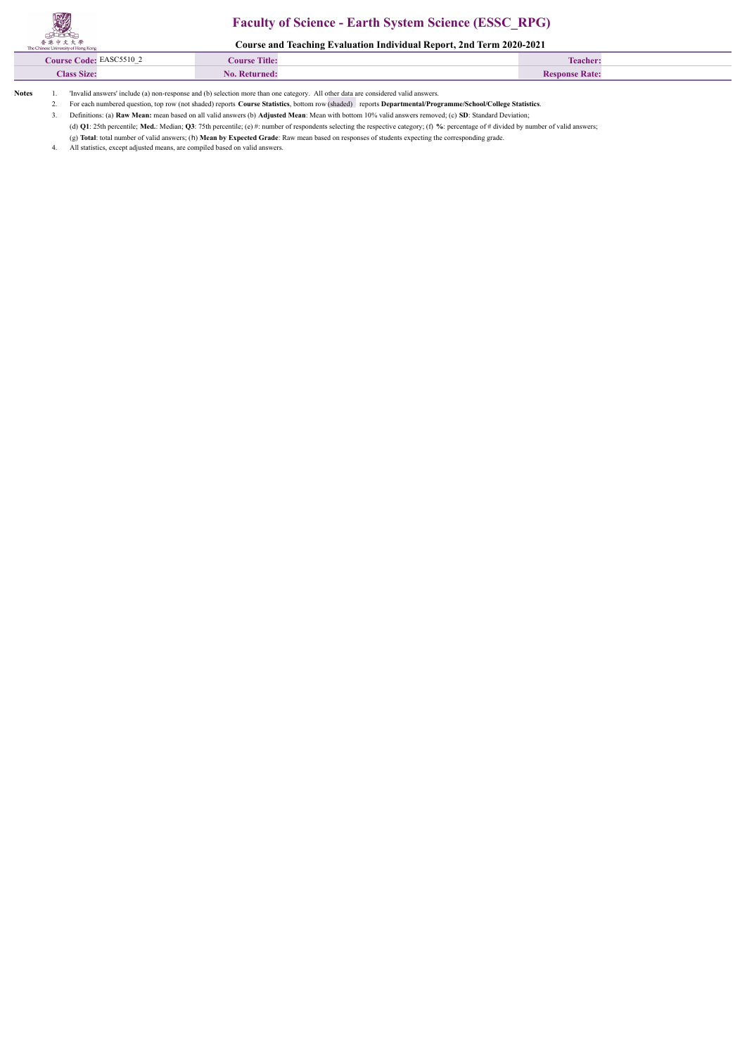## **Faculty of Science - Earth System Science (ESSC\_RPG)**

**Course and Teaching Evaluation Individual Report, 2nd Term 2020-2021**

| EASC5510 2<br><b>Tourse Code:</b><br>$\overline{\phantom{0}}$ | <b>Course Title:</b> | <b>Teacher:</b> |
|---------------------------------------------------------------|----------------------|-----------------|
| <b>Class Size:</b>                                            | . Returned<br>No.    | snonse Rate:    |
|                                                               |                      |                 |

**Notes** 1. 'Invalid answers' include (a) non-response and (b) selection more than one category. All other data are considered valid answers.

2. For each numbered question, top row (not shaded) reports **Course Statistics**, bottom row (shaded) reports **Departmental/Programme/School/College Statistics**.

3. Definitions: (a) **Raw Mean:** mean based on all valid answers (b) **Adjusted Mean**: Mean with bottom 10% valid answers removed; (c) **SD**: Standard Deviation;

(d) **Q1**: 25th percentile; **Med.**: Median; **Q3**: 75th percentile; (e) #: number of respondents selecting the respective category; (f) **%**: percentage of # divided by number of valid answers;

 (g) **Total**: total number of valid answers; (h) **Mean by Expected Grade**: Raw mean based on responses of students expecting the corresponding grade. All statistics, except adjusted means, are compiled based on valid answers.